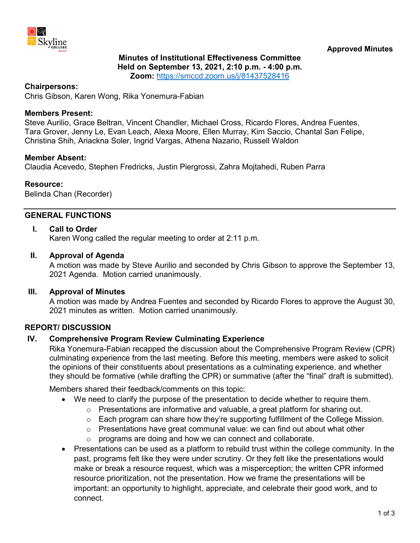

# **Minutes of Institutional Effectiveness Committee Held on September 13, 2021, 2:10 p.m. - 4:00 p.m.**

**Zoom:** <https://smccd.zoom.us/j/81437528416>

#### **Chairpersons:**

Chris Gibson, Karen Wong, Rika Yonemura-Fabian

#### **Members Present:**

Steve Aurilio, Grace Beltran, Vincent Chandler, Michael Cross, Ricardo Flores, Andrea Fuentes, Tara Grover, Jenny Le, Evan Leach, Alexa Moore, Ellen Murray, Kim Saccio, Chantal San Felipe, Christina Shih, Ariackna Soler, Ingrid Vargas, Athena Nazario, Russell Waldon

#### **Member Absent:**

Claudia Acevedo, Stephen Fredricks, Justin Piergrossi, Zahra Mojtahedi, Ruben Parra

#### **Resource:**

Belinda Chan (Recorder)

### **GENERAL FUNCTIONS**

#### **I. Call to Order**

Karen Wong called the regular meeting to order at 2:11 p.m.

#### **II. Approval of Agenda**

A motion was made by Steve Aurilio and seconded by Chris Gibson to approve the September 13, 2021 Agenda. Motion carried unanimously.

#### **III. Approval of Minutes**

A motion was made by Andrea Fuentes and seconded by Ricardo Flores to approve the August 30, 2021 minutes as written. Motion carried unanimously.

#### **REPORT/ DISCUSSION**

#### **IV. Comprehensive Program Review Culminating Experience**

Rika Yonemura-Fabian recapped the discussion about the Comprehensive Program Review (CPR) culminating experience from the last meeting. Before this meeting, members were asked to solicit the opinions of their constituents about presentations as a culminating experience, and whether they should be formative (while drafting the CPR) or summative (after the "final" draft is submitted).

Members shared their feedback/comments on this topic:

- We need to clarify the purpose of the presentation to decide whether to require them.
	- $\circ$  Presentations are informative and valuable, a great platform for sharing out.
	- $\circ$  Each program can share how they're supporting fulfillment of the College Mission.
	- $\circ$  Presentations have great communal value: we can find out about what other
	- $\circ$  programs are doing and how we can connect and collaborate.
- Presentations can be used as a platform to rebuild trust within the college community. In the past, programs felt like they were under scrutiny. Or they felt like the presentations would make or break a resource request, which was a misperception; the written CPR informed resource prioritization, not the presentation. How we frame the presentations will be important: an opportunity to highlight, appreciate, and celebrate their good work, and to connect.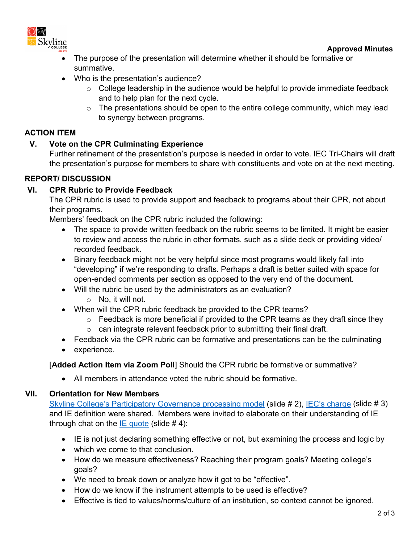

- The purpose of the presentation will determine whether it should be formative or summative.
- Who is the presentation's audience?
	- $\circ$  College leadership in the audience would be helpful to provide immediate feedback and to help plan for the next cycle.
	- $\circ$  The presentations should be open to the entire college community, which may lead to synergy between programs.

# **ACTION ITEM**

# **V. Vote on the CPR Culminating Experience**

Further refinement of the presentation's purpose is needed in order to vote. IEC Tri-Chairs will draft the presentation's purpose for members to share with constituents and vote on at the next meeting.

## **REPORT/ DISCUSSION**

## **VI. CPR Rubric to Provide Feedback**

The CPR rubric is used to provide support and feedback to programs about their CPR, not about their programs.

Members' feedback on the CPR rubric included the following:

- The space to provide written feedback on the rubric seems to be limited. It might be easier to review and access the rubric in other formats, such as a slide deck or providing video/ recorded feedback.
- Binary feedback might not be very helpful since most programs would likely fall into "developing" if we're responding to drafts. Perhaps a draft is better suited with space for open-ended comments per section as opposed to the very end of the document.
- Will the rubric be used by the administrators as an evaluation?
	- o No, it will not.
- When will the CPR rubric feedback be provided to the CPR teams?
	- $\circ$  Feedback is more beneficial if provided to the CPR teams as they draft since they
	- $\circ$  can integrate relevant feedback prior to submitting their final draft.
- Feedback via the CPR rubric can be formative and presentations can be the culminating
- experience.

# [**Added Action Item via Zoom Poll**] Should the CPR rubric be formative or summative?

• All members in attendance voted the rubric should be formative.

# **VII. Orientation for New Members**

[Skyline College's Participatory Governance processing model](https://www.skylinecollege.edu/iec/assets/agendas/2021-2022/IEC-Orientation.pdf) (slide # 2), [IEC's charge](https://www.skylinecollege.edu/iec/assets/agendas/2021-2022/IEC-Orientation.pdf) (slide # 3) and IE definition were shared. Members were invited to elaborate on their understanding of IE through chat on the  $IE$  quote (slide  $# 4$ ):

- IE is not just declaring something effective or not, but examining the process and logic by
- which we come to that conclusion.
- How do we measure effectiveness? Reaching their program goals? Meeting college's goals?
- We need to break down or analyze how it got to be "effective".
- How do we know if the instrument attempts to be used is effective?
- Effective is tied to values/norms/culture of an institution, so context cannot be ignored.